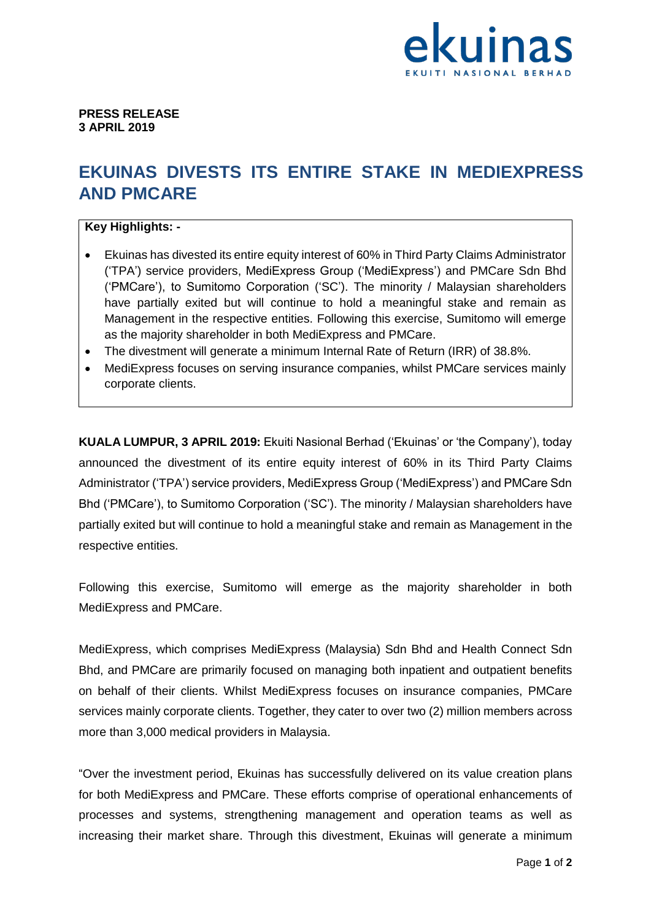

**PRESS RELEASE 3 APRIL 2019**

## **EKUINAS DIVESTS ITS ENTIRE STAKE IN MEDIEXPRESS AND PMCARE**

## **Key Highlights: -**

- Ekuinas has divested its entire equity interest of 60% in Third Party Claims Administrator ('TPA') service providers, MediExpress Group ('MediExpress') and PMCare Sdn Bhd ('PMCare'), to Sumitomo Corporation ('SC'). The minority / Malaysian shareholders have partially exited but will continue to hold a meaningful stake and remain as Management in the respective entities. Following this exercise, Sumitomo will emerge as the majority shareholder in both MediExpress and PMCare.
- The divestment will generate a minimum Internal Rate of Return (IRR) of 38.8%.
- MediExpress focuses on serving insurance companies, whilst PMCare services mainly corporate clients.

**KUALA LUMPUR, 3 APRIL 2019:** Ekuiti Nasional Berhad ('Ekuinas' or 'the Company'), today announced the divestment of its entire equity interest of 60% in its Third Party Claims Administrator ('TPA') service providers, MediExpress Group ('MediExpress') and PMCare Sdn Bhd ('PMCare'), to Sumitomo Corporation ('SC'). The minority / Malaysian shareholders have partially exited but will continue to hold a meaningful stake and remain as Management in the respective entities.

Following this exercise, Sumitomo will emerge as the majority shareholder in both MediExpress and PMCare.

MediExpress, which comprises MediExpress (Malaysia) Sdn Bhd and Health Connect Sdn Bhd, and PMCare are primarily focused on managing both inpatient and outpatient benefits on behalf of their clients. Whilst MediExpress focuses on insurance companies, PMCare services mainly corporate clients. Together, they cater to over two (2) million members across more than 3,000 medical providers in Malaysia.

"Over the investment period, Ekuinas has successfully delivered on its value creation plans for both MediExpress and PMCare. These efforts comprise of operational enhancements of processes and systems, strengthening management and operation teams as well as increasing their market share. Through this divestment, Ekuinas will generate a minimum